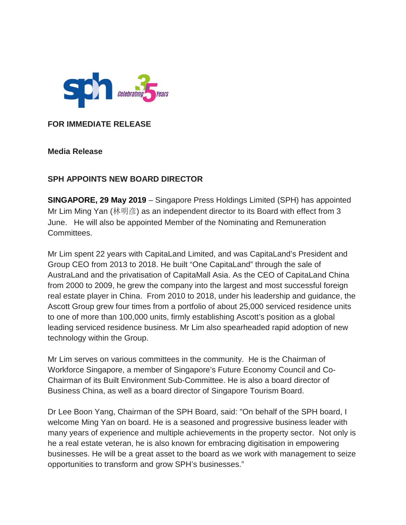

**FOR IMMEDIATE RELEASE**

**Media Release**

## **SPH APPOINTS NEW BOARD DIRECTOR**

**SINGAPORE, 29 May 2019** – Singapore Press Holdings Limited (SPH) has appointed Mr Lim Ming Yan (林明彦) as an independent director to its Board with effect from 3 June. He will also be appointed Member of the Nominating and Remuneration Committees.

Mr Lim spent 22 years with CapitaLand Limited, and was CapitaLand's President and Group CEO from 2013 to 2018. He built "One CapitaLand" through the sale of AustraLand and the privatisation of CapitaMall Asia. As the CEO of CapitaLand China from 2000 to 2009, he grew the company into the largest and most successful foreign real estate player in China. From 2010 to 2018, under his leadership and guidance, the Ascott Group grew four times from a portfolio of about 25,000 serviced residence units to one of more than 100,000 units, firmly establishing Ascott's position as a global leading serviced residence business. Mr Lim also spearheaded rapid adoption of new technology within the Group.

Mr Lim serves on various committees in the community. He is the Chairman of Workforce Singapore, a member of Singapore's Future Economy Council and Co-Chairman of its Built Environment Sub-Committee. He is also a board director of Business China, as well as a board director of Singapore Tourism Board.

Dr Lee Boon Yang, Chairman of the SPH Board, said: "On behalf of the SPH board, I welcome Ming Yan on board. He is a seasoned and progressive business leader with many years of experience and multiple achievements in the property sector. Not only is he a real estate veteran, he is also known for embracing digitisation in empowering businesses. He will be a great asset to the board as we work with management to seize opportunities to transform and grow SPH's businesses."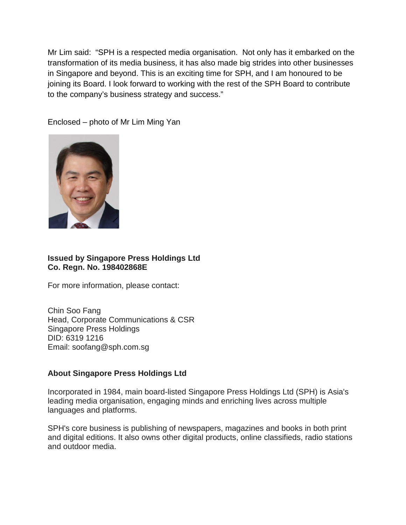Mr Lim said: "SPH is a respected media organisation. Not only has it embarked on the transformation of its media business, it has also made big strides into other businesses in Singapore and beyond. This is an exciting time for SPH, and I am honoured to be joining its Board. I look forward to working with the rest of the SPH Board to contribute to the company's business strategy and success."

Enclosed – photo of Mr Lim Ming Yan



## **Issued by Singapore Press Holdings Ltd Co. Regn. No. 198402868E**

For more information, please contact:

Chin Soo Fang Head, Corporate Communications & CSR Singapore Press Holdings DID: 6319 1216 Email: soofang@sph.com.sg

## **About Singapore Press Holdings Ltd**

Incorporated in 1984, main board-listed Singapore Press Holdings Ltd (SPH) is Asia's leading media organisation, engaging minds and enriching lives across multiple languages and platforms.

SPH's core business is publishing of newspapers, magazines and books in both print and digital editions. It also owns other digital products, online classifieds, radio stations and outdoor media.